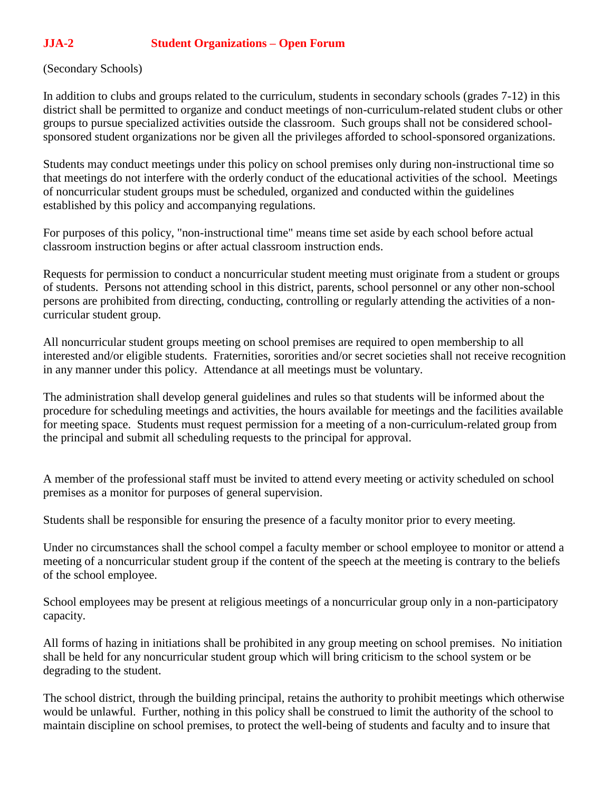## **JJA-2 Student Organizations – Open Forum**

## (Secondary Schools)

In addition to clubs and groups related to the curriculum, students in secondary schools (grades 7-12) in this district shall be permitted to organize and conduct meetings of non-curriculum-related student clubs or other groups to pursue specialized activities outside the classroom. Such groups shall not be considered schoolsponsored student organizations nor be given all the privileges afforded to school-sponsored organizations.

Students may conduct meetings under this policy on school premises only during non-instructional time so that meetings do not interfere with the orderly conduct of the educational activities of the school. Meetings of noncurricular student groups must be scheduled, organized and conducted within the guidelines established by this policy and accompanying regulations.

For purposes of this policy, "non-instructional time" means time set aside by each school before actual classroom instruction begins or after actual classroom instruction ends.

Requests for permission to conduct a noncurricular student meeting must originate from a student or groups of students. Persons not attending school in this district, parents, school personnel or any other non-school persons are prohibited from directing, conducting, controlling or regularly attending the activities of a noncurricular student group.

All noncurricular student groups meeting on school premises are required to open membership to all interested and/or eligible students. Fraternities, sororities and/or secret societies shall not receive recognition in any manner under this policy. Attendance at all meetings must be voluntary.

The administration shall develop general guidelines and rules so that students will be informed about the procedure for scheduling meetings and activities, the hours available for meetings and the facilities available for meeting space. Students must request permission for a meeting of a non-curriculum-related group from the principal and submit all scheduling requests to the principal for approval.

A member of the professional staff must be invited to attend every meeting or activity scheduled on school premises as a monitor for purposes of general supervision.

Students shall be responsible for ensuring the presence of a faculty monitor prior to every meeting.

Under no circumstances shall the school compel a faculty member or school employee to monitor or attend a meeting of a noncurricular student group if the content of the speech at the meeting is contrary to the beliefs of the school employee.

School employees may be present at religious meetings of a noncurricular group only in a non-participatory capacity.

All forms of hazing in initiations shall be prohibited in any group meeting on school premises. No initiation shall be held for any noncurricular student group which will bring criticism to the school system or be degrading to the student.

The school district, through the building principal, retains the authority to prohibit meetings which otherwise would be unlawful. Further, nothing in this policy shall be construed to limit the authority of the school to maintain discipline on school premises, to protect the well-being of students and faculty and to insure that